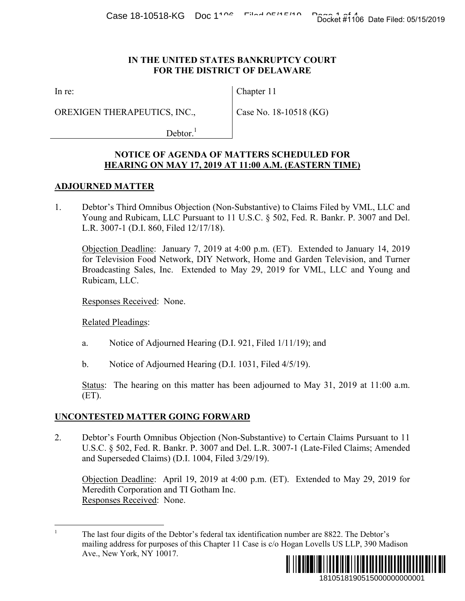#### **IN THE UNITED STATES BANKRUPTCY COURT FOR THE DISTRICT OF DELAWARE**

In re:

OREXIGEN THERAPEUTICS, INC.,

Chapter 11

Case No. 18-10518 (KG)

 $Dektor.<sup>1</sup>$ 

## **NOTICE OF AGENDA OF MATTERS SCHEDULED FOR HEARING ON MAY 17, 2019 AT 11:00 A.M. (EASTERN TIME)**

### **ADJOURNED MATTER**

1. Debtor's Third Omnibus Objection (Non-Substantive) to Claims Filed by VML, LLC and Young and Rubicam, LLC Pursuant to 11 U.S.C. § 502, Fed. R. Bankr. P. 3007 and Del. L.R. 3007-1 (D.I. 860, Filed 12/17/18).

Objection Deadline: January 7, 2019 at 4:00 p.m. (ET). Extended to January 14, 2019 for Television Food Network, DIY Network, Home and Garden Television, and Turner Broadcasting Sales, Inc. Extended to May 29, 2019 for VML, LLC and Young and Rubicam, LLC. Docket #1106 Date Filed: 05/15/2019<br>
URT<br>
URT<br>
CG)<br>
ED FOR<br>
EN TIME.<br>
Filed by VML, LLC and<br>
Bankr. P. 3007 and Del.<br>
Ided to January 14, 2019<br>
In Television, and Turner<br>
L, LLC and Young and<br>
proper L, LLC and Young and<br>

Responses Received: None.

Related Pleadings:

- a. Notice of Adjourned Hearing (D.I. 921, Filed 1/11/19); and
- b. Notice of Adjourned Hearing (D.I. 1031, Filed 4/5/19).

Status: The hearing on this matter has been adjourned to May 31, 2019 at 11:00 a.m. (ET).

## **UNCONTESTED MATTER GOING FORWARD**

2. Debtor's Fourth Omnibus Objection (Non-Substantive) to Certain Claims Pursuant to 11 U.S.C. § 502, Fed. R. Bankr. P. 3007 and Del. L.R. 3007-1 (Late-Filed Claims; Amended and Superseded Claims) (D.I. 1004, Filed 3/29/19).

Objection Deadline: April 19, 2019 at 4:00 p.m. (ET). Extended to May 29, 2019 for Meredith Corporation and TI Gotham Inc. Responses Received: None.

 $\overline{a}$ <sup>1</sup> The last four digits of the Debtor's federal tax identification number are 8822. The Debtor's mailing address for purposes of this Chapter 11 Case is c/o Hogan Lovells US LLP, 390 Madison Ave., New York, NY 10017.

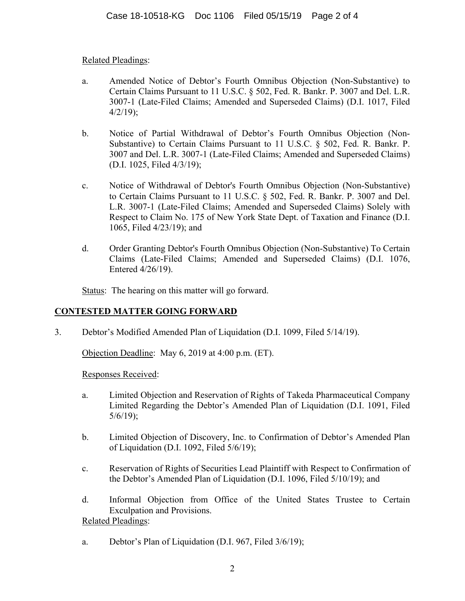## Related Pleadings:

- a. Amended Notice of Debtor's Fourth Omnibus Objection (Non-Substantive) to Certain Claims Pursuant to 11 U.S.C. § 502, Fed. R. Bankr. P. 3007 and Del. L.R. 3007-1 (Late-Filed Claims; Amended and Superseded Claims) (D.I. 1017, Filed  $4/2/19$ ;
- b. Notice of Partial Withdrawal of Debtor's Fourth Omnibus Objection (Non-Substantive) to Certain Claims Pursuant to 11 U.S.C. § 502, Fed. R. Bankr. P. 3007 and Del. L.R. 3007-1 (Late-Filed Claims; Amended and Superseded Claims) (D.I. 1025, Filed 4/3/19);
- c. Notice of Withdrawal of Debtor's Fourth Omnibus Objection (Non-Substantive) to Certain Claims Pursuant to 11 U.S.C. § 502, Fed. R. Bankr. P. 3007 and Del. L.R. 3007-1 (Late-Filed Claims; Amended and Superseded Claims) Solely with Respect to Claim No. 175 of New York State Dept. of Taxation and Finance (D.I. 1065, Filed 4/23/19); and
- d. Order Granting Debtor's Fourth Omnibus Objection (Non-Substantive) To Certain Claims (Late-Filed Claims; Amended and Superseded Claims) (D.I. 1076, Entered 4/26/19).

Status: The hearing on this matter will go forward.

# **CONTESTED MATTER GOING FORWARD**

3. Debtor's Modified Amended Plan of Liquidation (D.I. 1099, Filed 5/14/19).

Objection Deadline: May 6, 2019 at 4:00 p.m. (ET).

Responses Received:

- a. Limited Objection and Reservation of Rights of Takeda Pharmaceutical Company Limited Regarding the Debtor's Amended Plan of Liquidation (D.I. 1091, Filed 5/6/19);
- b. Limited Objection of Discovery, Inc. to Confirmation of Debtor's Amended Plan of Liquidation (D.I. 1092, Filed 5/6/19);
- c. Reservation of Rights of Securities Lead Plaintiff with Respect to Confirmation of the Debtor's Amended Plan of Liquidation (D.I. 1096, Filed 5/10/19); and
- d. Informal Objection from Office of the United States Trustee to Certain Exculpation and Provisions. Related Pleadings:
- a. Debtor's Plan of Liquidation (D.I. 967, Filed 3/6/19);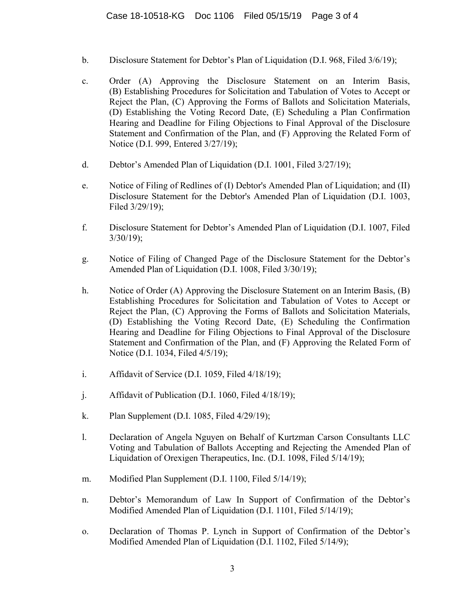- b. Disclosure Statement for Debtor's Plan of Liquidation (D.I. 968, Filed 3/6/19);
- c. Order (A) Approving the Disclosure Statement on an Interim Basis, (B) Establishing Procedures for Solicitation and Tabulation of Votes to Accept or Reject the Plan, (C) Approving the Forms of Ballots and Solicitation Materials, (D) Establishing the Voting Record Date, (E) Scheduling a Plan Confirmation Hearing and Deadline for Filing Objections to Final Approval of the Disclosure Statement and Confirmation of the Plan, and (F) Approving the Related Form of Notice (D.I. 999, Entered 3/27/19);
- d. Debtor's Amended Plan of Liquidation (D.I. 1001, Filed 3/27/19);
- e. Notice of Filing of Redlines of (I) Debtor's Amended Plan of Liquidation; and (II) Disclosure Statement for the Debtor's Amended Plan of Liquidation (D.I. 1003, Filed 3/29/19);
- f. Disclosure Statement for Debtor's Amended Plan of Liquidation (D.I. 1007, Filed 3/30/19);
- g. Notice of Filing of Changed Page of the Disclosure Statement for the Debtor's Amended Plan of Liquidation (D.I. 1008, Filed 3/30/19);
- h. Notice of Order (A) Approving the Disclosure Statement on an Interim Basis, (B) Establishing Procedures for Solicitation and Tabulation of Votes to Accept or Reject the Plan, (C) Approving the Forms of Ballots and Solicitation Materials, (D) Establishing the Voting Record Date, (E) Scheduling the Confirmation Hearing and Deadline for Filing Objections to Final Approval of the Disclosure Statement and Confirmation of the Plan, and (F) Approving the Related Form of Notice (D.I. 1034, Filed 4/5/19);
- i. Affidavit of Service (D.I. 1059, Filed 4/18/19);
- j. Affidavit of Publication (D.I. 1060, Filed 4/18/19);
- k. Plan Supplement (D.I. 1085, Filed 4/29/19);
- l. Declaration of Angela Nguyen on Behalf of Kurtzman Carson Consultants LLC Voting and Tabulation of Ballots Accepting and Rejecting the Amended Plan of Liquidation of Orexigen Therapeutics, Inc. (D.I. 1098, Filed 5/14/19);
- m. Modified Plan Supplement (D.I. 1100, Filed 5/14/19);
- n. Debtor's Memorandum of Law In Support of Confirmation of the Debtor's Modified Amended Plan of Liquidation (D.I. 1101, Filed 5/14/19);
- o. Declaration of Thomas P. Lynch in Support of Confirmation of the Debtor's Modified Amended Plan of Liquidation (D.I. 1102, Filed 5/14/9);